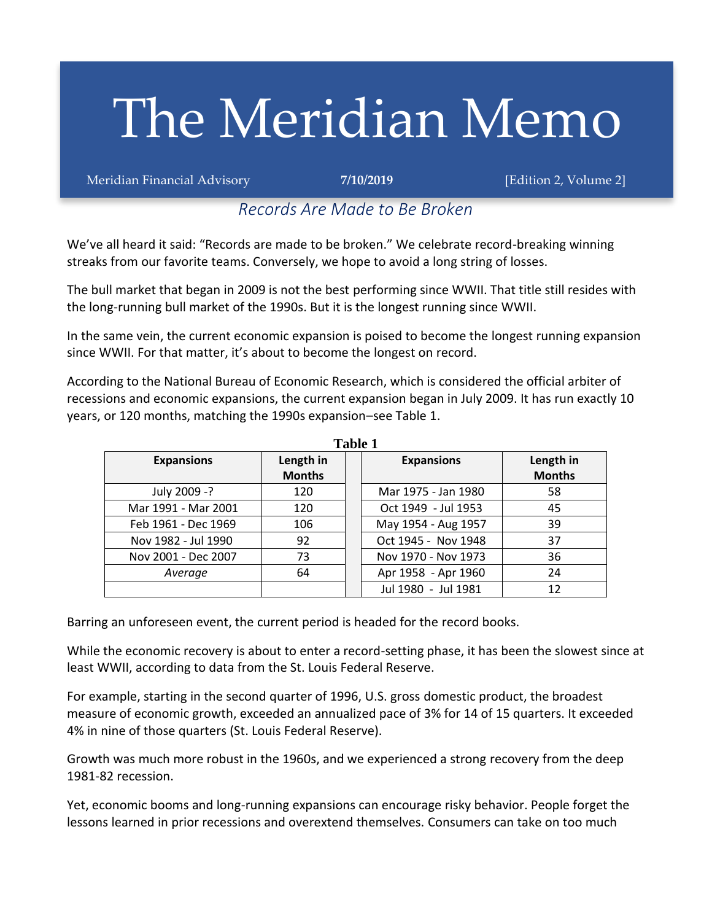# The Meridian Memo

Meridian Financial Advisory **7/10/2019** [Edition 2, Volume 2]

# *Records Are Made to Be Broken*

We've all heard it said: "Records are made to be broken." We celebrate record-breaking winning streaks from our favorite teams. Conversely, we hope to avoid a long string of losses.

The bull market that began in 2009 is not the best performing since WWII. That title still resides with the long-running bull market of the 1990s. But it is the longest running since WWII.

In the same vein, the current economic expansion is poised to become the longest running expansion since WWII. For that matter, it's about to become the longest on record.

According to the National Bureau of Economic Research, which is considered the official arbiter of recessions and economic expansions, the current expansion began in July 2009. It has run exactly 10 years, or 120 months, matching the 1990s expansion–see Table 1.

**Table 1**

| таніс т             |                            |  |                           |                            |  |  |  |
|---------------------|----------------------------|--|---------------------------|----------------------------|--|--|--|
| <b>Expansions</b>   | Length in<br><b>Months</b> |  | <b>Expansions</b>         | Length in<br><b>Months</b> |  |  |  |
| July 2009 -?        | 120                        |  | Mar 1975 - Jan 1980       | 58                         |  |  |  |
| Mar 1991 - Mar 2001 | 120                        |  | Oct 1949 - Jul 1953       | 45                         |  |  |  |
| Feb 1961 - Dec 1969 | 106                        |  | May 1954 - Aug 1957       | 39                         |  |  |  |
| Nov 1982 - Jul 1990 | 92                         |  | Oct 1945 - Nov 1948<br>37 |                            |  |  |  |
| Nov 2001 - Dec 2007 | 73                         |  | Nov 1970 - Nov 1973<br>36 |                            |  |  |  |
| Average             | 64                         |  | Apr 1958 - Apr 1960       | 24                         |  |  |  |
|                     |                            |  | Jul 1980 - Jul 1981       | 12                         |  |  |  |

Barring an unforeseen event, the current period is headed for the record books.

While the economic recovery is about to enter a record-setting phase, it has been the slowest since at least WWII, according to data from the St. Louis Federal Reserve.

For example, starting in the second quarter of 1996, U.S. gross domestic product, the broadest measure of economic growth, exceeded an annualized pace of 3% for 14 of 15 quarters. It exceeded 4% in nine of those quarters (St. Louis Federal Reserve).

Growth was much more robust in the 1960s, and we experienced a strong recovery from the deep 1981-82 recession.

Yet, economic booms and long-running expansions can encourage risky behavior. People forget the lessons learned in prior recessions and overextend themselves. Consumers can take on too much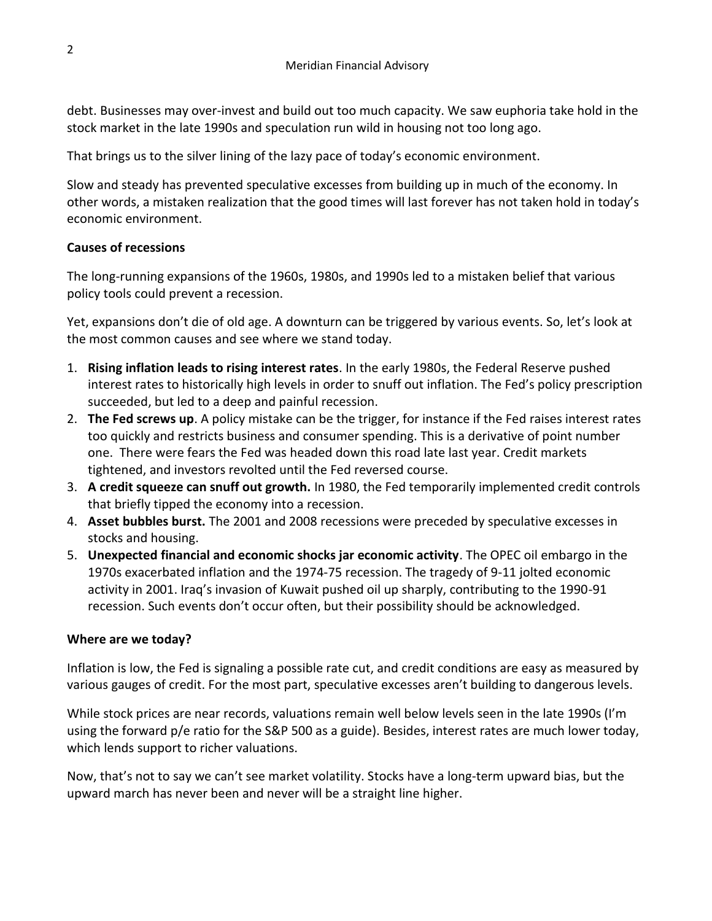debt. Businesses may over-invest and build out too much capacity. We saw euphoria take hold in the stock market in the late 1990s and speculation run wild in housing not too long ago.

That brings us to the silver lining of the lazy pace of today's economic environment.

Slow and steady has prevented speculative excesses from building up in much of the economy. In other words, a mistaken realization that the good times will last forever has not taken hold in today's economic environment.

#### **Causes of recessions**

The long-running expansions of the 1960s, 1980s, and 1990s led to a mistaken belief that various policy tools could prevent a recession.

Yet, expansions don't die of old age. A downturn can be triggered by various events. So, let's look at the most common causes and see where we stand today.

- 1. **Rising inflation leads to rising interest rates**. In the early 1980s, the Federal Reserve pushed interest rates to historically high levels in order to snuff out inflation. The Fed's policy prescription succeeded, but led to a deep and painful recession.
- 2. **The Fed screws up**. A policy mistake can be the trigger, for instance if the Fed raises interest rates too quickly and restricts business and consumer spending. This is a derivative of point number one. There were fears the Fed was headed down this road late last year. Credit markets tightened, and investors revolted until the Fed reversed course.
- 3. **A credit squeeze can snuff out growth.** In 1980, the Fed temporarily implemented credit controls that briefly tipped the economy into a recession.
- 4. **Asset bubbles burst.** The 2001 and 2008 recessions were preceded by speculative excesses in stocks and housing.
- 5. **Unexpected financial and economic shocks jar economic activity**. The OPEC oil embargo in the 1970s exacerbated inflation and the 1974-75 recession. The tragedy of 9-11 jolted economic activity in 2001. Iraq's invasion of Kuwait pushed oil up sharply, contributing to the 1990-91 recession. Such events don't occur often, but their possibility should be acknowledged.

#### **Where are we today?**

Inflation is low, the Fed is signaling a possible rate cut, and credit conditions are easy as measured by various gauges of credit. For the most part, speculative excesses aren't building to dangerous levels.

While stock prices are near records, valuations remain well below levels seen in the late 1990s (I'm using the forward p/e ratio for the S&P 500 as a guide). Besides, interest rates are much lower today, which lends support to richer valuations.

Now, that's not to say we can't see market volatility. Stocks have a long-term upward bias, but the upward march has never been and never will be a straight line higher.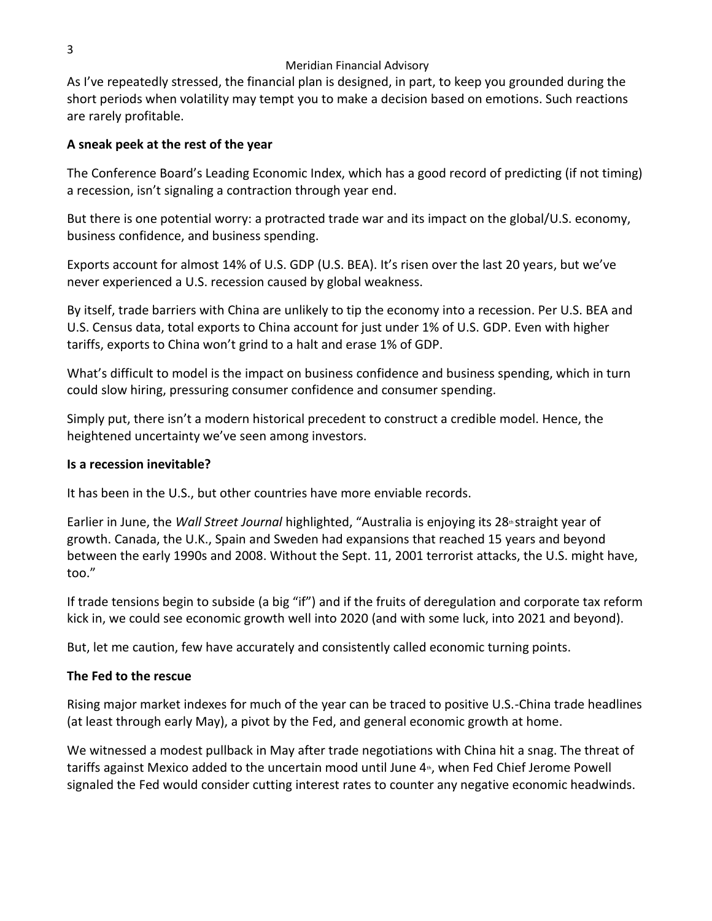#### Meridian Financial Advisory

As I've repeatedly stressed, the financial plan is designed, in part, to keep you grounded during the short periods when volatility may tempt you to make a decision based on emotions. Such reactions are rarely profitable.

### **A sneak peek at the rest of the year**

The Conference Board's Leading Economic Index, which has a good record of predicting (if not timing) a recession, isn't signaling a contraction through year end.

But there is one potential worry: a protracted trade war and its impact on the global/U.S. economy, business confidence, and business spending.

Exports account for almost 14% of U.S. GDP (U.S. BEA). It's risen over the last 20 years, but we've never experienced a U.S. recession caused by global weakness.

By itself, trade barriers with China are unlikely to tip the economy into a recession. Per U.S. BEA and U.S. Census data, total exports to China account for just under 1% of U.S. GDP. Even with higher tariffs, exports to China won't grind to a halt and erase 1% of GDP.

What's difficult to model is the impact on business confidence and business spending, which in turn could slow hiring, pressuring consumer confidence and consumer spending.

Simply put, there isn't a modern historical precedent to construct a credible model. Hence, the heightened uncertainty we've seen among investors.

#### **Is a recession inevitable?**

It has been in the U.S., but other countries have more enviable records.

Earlier in June, the *Wall Street Journal* highlighted, "Australia is enjoying its 28<sup>th</sup> straight year of growth. Canada, the U.K., Spain and Sweden had expansions that reached 15 years and beyond between the early 1990s and 2008. Without the Sept. 11, 2001 terrorist attacks, the U.S. might have, too."

If trade tensions begin to subside (a big "if") and if the fruits of deregulation and corporate tax reform kick in, we could see economic growth well into 2020 (and with some luck, into 2021 and beyond).

But, let me caution, few have accurately and consistently called economic turning points.

## **The Fed to the rescue**

Rising major market indexes for much of the year can be traced to positive U.S.-China trade headlines (at least through early May), a pivot by the Fed, and general economic growth at home.

We witnessed a modest pullback in May after trade negotiations with China hit a snag. The threat of tariffs against Mexico added to the uncertain mood until June  $4<sup>*</sup>$ , when Fed Chief Jerome Powell signaled the Fed would consider cutting interest rates to counter any negative economic headwinds.